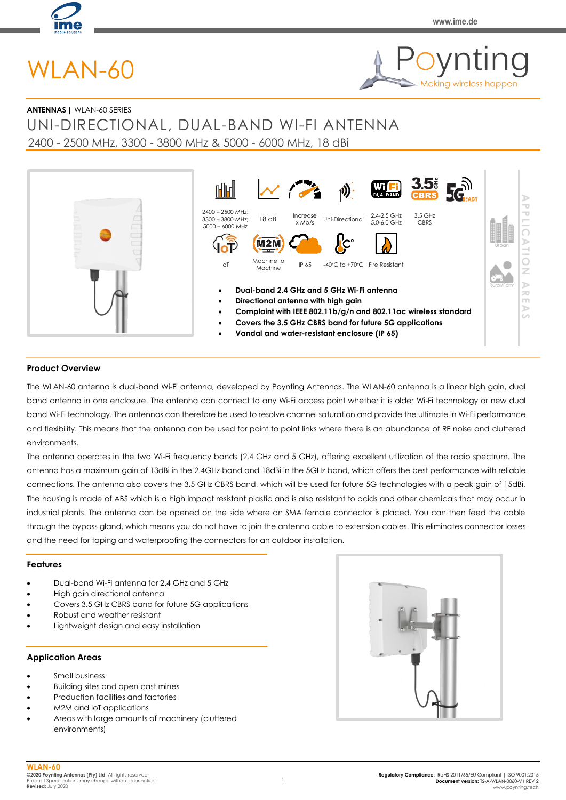

**Making wireless happen** 

# WLAN-60



# UNI-DIRECTIONAL, DUAL-BAND WI-FI ANTENNA 2400 - 2500 MHz, 3300 - 3800 MHz & 5000 - 6000 MHz, 18 dBi



## **Product Overview**

The WLAN-60 antenna is dual-band Wi-Fi antenna, developed by Poynting Antennas. The WLAN-60 antenna is a linear high gain, dual band antenna in one enclosure. The antenna can connect to any Wi-Fi access point whether it is older Wi-Fi technology or new dual band Wi-Fi technology. The antennas can therefore be used to resolve channel saturation and provide the ultimate in Wi-Fi performance and flexibility. This means that the antenna can be used for point to point links where there is an abundance of RF noise and cluttered environments.

The antenna operates in the two Wi-Fi frequency bands (2.4 GHz and 5 GHz), offering excellent utilization of the radio spectrum. The antenna has a maximum gain of 13dBi in the 2.4GHz band and 18dBi in the 5GHz band, which offers the best performance with reliable connections. The antenna also covers the 3.5 GHz CBRS band, which will be used for future 5G technologies with a peak gain of 15dBi. The housing is made of ABS which is a high impact resistant plastic and is also resistant to acids and other chemicals that may occur in industrial plants. The antenna can be opened on the side where an SMA female connector is placed. You can then feed the cable through the bypass gland, which means you do not have to join the antenna cable to extension cables. This eliminates connector losses and the need for taping and waterproofing the connectors for an outdoor installation.

#### **Features**

- Dual-band Wi-Fi antenna for 2.4 GHz and 5 GHz
- High gain directional antenna
- Covers 3.5 GHz CBRS band for future 5G applications
- Robust and weather resistant
- Lightweight design and easy installation

#### **Application Areas**

- Small business
- Building sites and open cast mines
- Production facilities and factories
- M2M and IoT applications
- Areas with large amounts of machinery (cluttered environments)

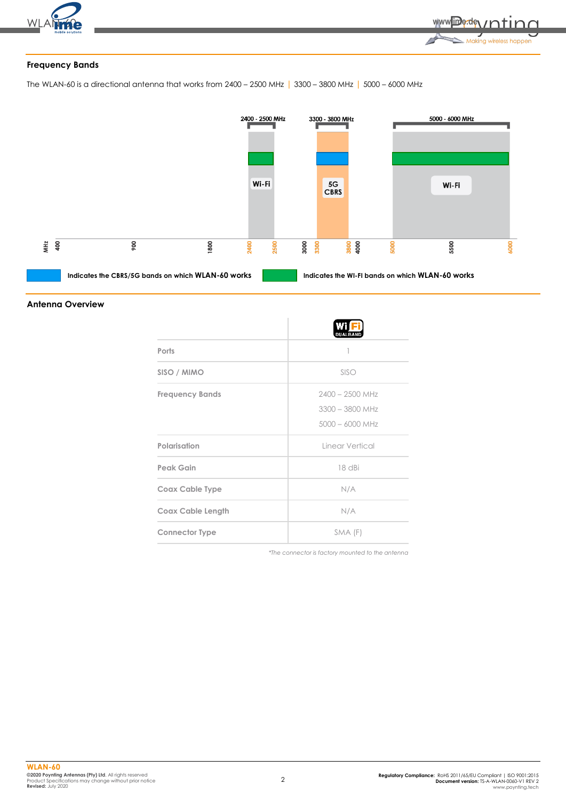

# **Frequency Bands**

The WLAN-60 is a directional antenna that works from 2400 – 2500 MHz | 3300 – 3800 MHz | 5000 – 6000 MHz



#### **Antenna Overview**

|                          | <b>DUALBAND</b>   |
|--------------------------|-------------------|
| Ports                    |                   |
| SISO / MIMO              | SISO              |
| <b>Frequency Bands</b>   | $2400 - 2500$ MHz |
|                          | $3300 - 3800$ MHz |
|                          | $5000 - 6000$ MHz |
| Polarisation             | Linear Vertical   |
| <b>Peak Gain</b>         | 18 dBi            |
| <b>Coax Cable Type</b>   | N/A               |
| <b>Coax Cable Length</b> | N/A               |
| <b>Connector Type</b>    | SMA (F)           |

*\*The connector is factory mounted to the antenna*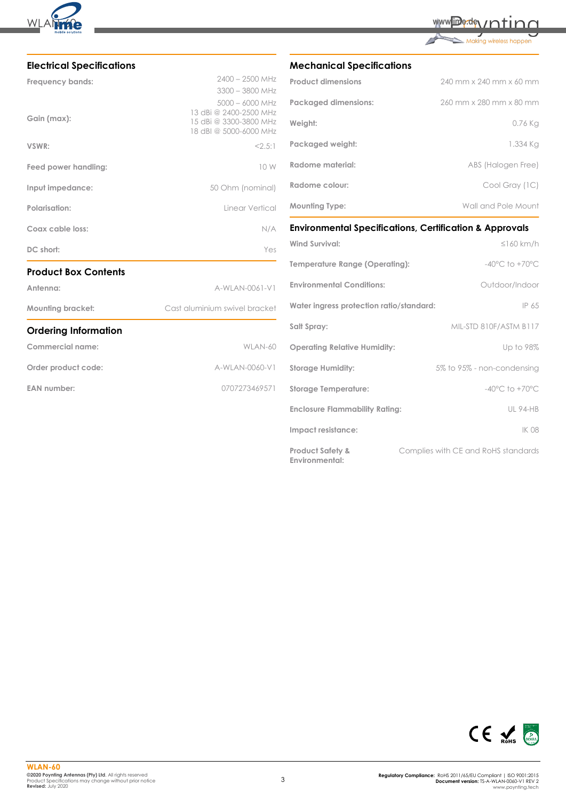

| www.jime.dev/ntinn |  |
|--------------------|--|
|                    |  |
|                    |  |

| Making wireless happen |  |  |
|------------------------|--|--|
|                        |  |  |

| <b>Electrical Specifications</b> |                                                                            |
|----------------------------------|----------------------------------------------------------------------------|
| Frequency bands:                 | $2400 - 2500$ MHz<br>$3300 - 3800$ MHz<br>$5000 - 6000$ MHz                |
| Gain (max):                      | 13 dBi @ 2400-2500 MHz<br>15 dBi @ 3300-3800 MHz<br>18 dBI @ 5000-6000 MHz |
| VSWR:                            | 2.5:1                                                                      |
| Feed power handling:             | 10 W                                                                       |
| Input impedance:                 | 50 Ohm (nominal)                                                           |
| Polarisation:                    | Linear Vertical                                                            |
| Coax cable loss:                 | N/A                                                                        |
| DC short:                        | Yes                                                                        |
| <b>Product Box Contents</b>      |                                                                            |
| Antenna:                         | A-WLAN-0061-V1                                                             |
| <b>Mounting bracket:</b>         | Cast aluminium swivel bracket                                              |
| <b>Ordering Information</b>      |                                                                            |
| <b>Commercial name:</b>          | WLAN-60                                                                    |
| Order product code:              | A-WLAN-0060-V1                                                             |
| <b>EAN number:</b>               | 0707273469571                                                              |
|                                  |                                                                            |

# **Mechanical Specifications**

| <b>Product dimensions</b>   | 240 mm x 240 mm x 60 mm |
|-----------------------------|-------------------------|
| <b>Packaged dimensions:</b> | 260 mm x 280 mm x 80 mm |
| Weight:                     | 0.76 Kg                 |
| Packaged weight:            | 1.334 Ka                |
| Radome material:            | ABS (Halogen Free)      |
| Radome colour:              | Cool Gray (1C)          |
| <b>Mounting Type:</b>       | Wall and Pole Mount     |

# **Environmental Specifications, Certification & Approvals**

| <b>Wind Survival:</b>                         | $\leq$ 160 km/h                     |
|-----------------------------------------------|-------------------------------------|
| Temperature Range (Operating):                | $-40^{\circ}$ C to $+70^{\circ}$ C  |
| <b>Environmental Conditions:</b>              | Outdoor/Indoor                      |
| Water ingress protection ratio/standard:      | IP 65                               |
| Salt Spray:                                   | MIL-STD 810F/ASTM B117              |
| <b>Operating Relative Humidity:</b>           | Up to 98%                           |
| <b>Storage Humidity:</b>                      | 5% to 95% - non-condensing          |
| <b>Storage Temperature:</b>                   | $-40^{\circ}$ C to $+70^{\circ}$ C  |
| <b>Enclosure Flammability Rating:</b>         | <b>UL 94-HB</b>                     |
| Impact resistance:                            | <b>IK 08</b>                        |
| <b>Product Safety &amp;</b><br>Environmental: | Complies with CE and RoHS standards |

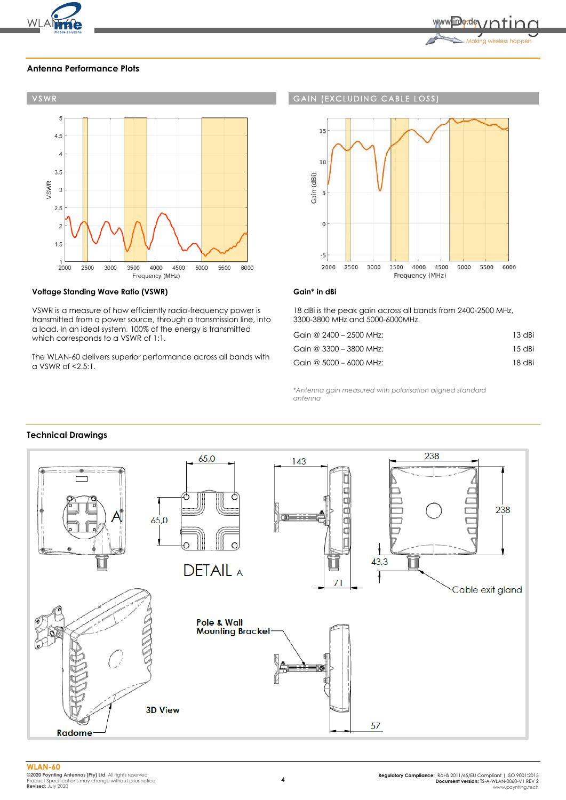

#### **Antenna Performance Plots**



#### **Voltage Standing Wave Ratio (VSWR)**

VSWR is a measure of how efficiently radio-frequency power is transmitted from a power source, through a transmission line, into a load. In an ideal system, 100% of the energy is transmitted which corresponds to a VSWR of 1:1.

The WLAN-60 delivers superior performance across all bands with a VSWR of <2.5:1.

#### **GAIN (EXCLUDING CABLE LOSS**



#### **Gain\* in dBi**

18 dBi is the peak gain across all bands from 2400-2500 MHz, 3300-3800 MHz and 5000-6000MHz.

| Gain @ 2400 - 2500 MHz:   | 13 dBi |
|---------------------------|--------|
| Gain @ $3300 - 3800$ MHz: | 15 dBi |
| Gain @ 5000 - 6000 MHz:   | 18 dBi |

*\*Antenna gain measured with polarisation aligned standard antenna*

# **Technical Drawings**

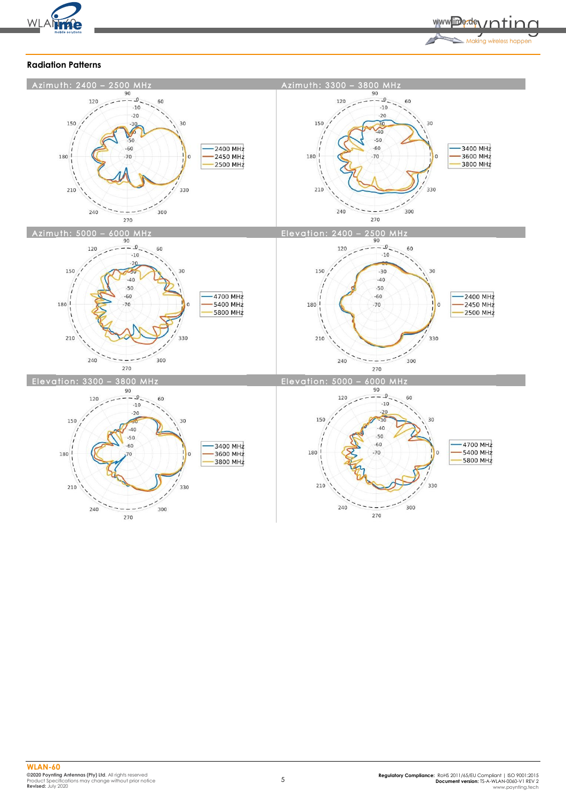

www.ime.dev.ntinn **September 2004** 

# **Radiation Patterns**

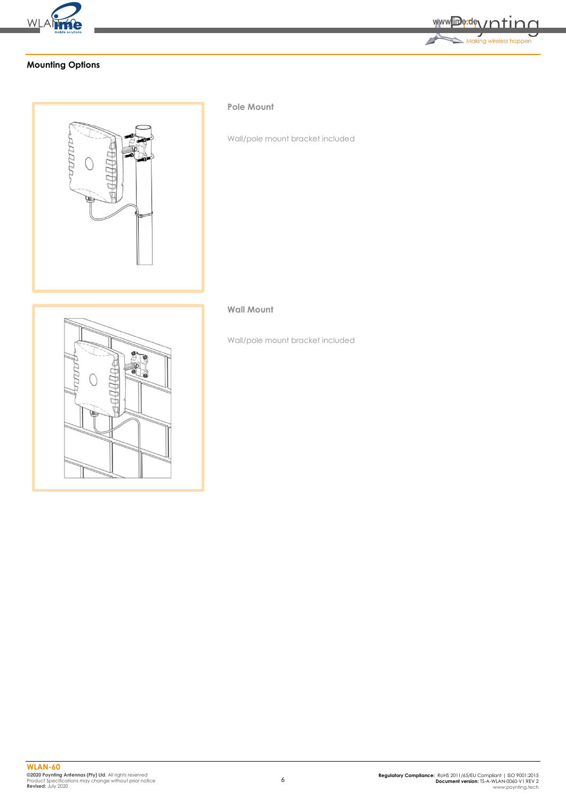



# **Mounting Options**



#### **Pole Mount**

Wall/pole mount bracket included

# **Wall Mount**

Wall/pole mount bracket included